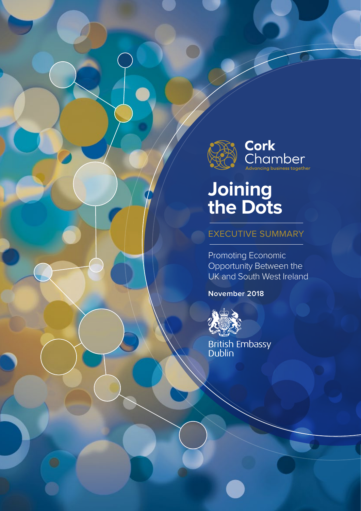

# **Joining the Dots**

## EXECUTIVE SUMMARY

Promoting Economic Opportunity Between the UK and South West Ireland

**November 2018**



British Embassy<br>Dublin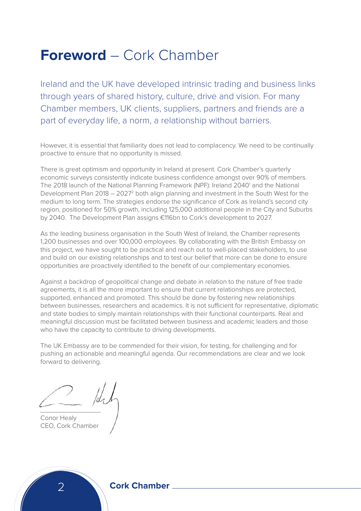## **Foreword** – Cork Chamber

Ireland and the UK have developed intrinsic trading and business links through years of shared history, culture, drive and vision. For many Chamber members, UK clients, suppliers, partners and friends are a part of everyday life, a norm, a relationship without barriers.

However, it is essential that familiarity does not lead to complacency. We need to be continually proactive to ensure that no opportunity is missed.

There is great optimism and opportunity in Ireland at present. Cork Chamber's quarterly economic surveys consistently indicate business confidence amongst over 90% of members. The 2018 launch of the National Planning Framework (NPF): Ireland 2040<sup>1</sup> and the National Development Plan 2018 – 20272 both align planning and investment in the South West for the medium to long term. The strategies endorse the significance of Cork as Ireland's second city region, positioned for 50% growth, including 125,000 additional people in the City and Suburbs by 2040. The Development Plan assigns €116bn to Cork's development to 2027.

As the leading business organisation in the South West of Ireland, the Chamber represents 1,200 businesses and over 100,000 employees. By collaborating with the British Embassy on this project, we have sought to be practical and reach out to well-placed stakeholders, to use and build on our existing relationships and to test our belief that more can be done to ensure opportunities are proactively identified to the benefit of our complementary economies.

Against a backdrop of geopolitical change and debate in relation to the nature of free trade agreements, it is all the more important to ensure that current relationships are protected, supported, enhanced and promoted. This should be done by fostering new relationships between businesses, researchers and academics. It is not sufficient for representative, diplomatic and state bodies to simply maintain relationships with their functional counterparts. Real and meaningful discussion must be facilitated between business and academic leaders and those who have the capacity to contribute to driving developments.

The UK Embassy are to be commended for their vision, for testing, for challenging and for pushing an actionable and meaningful agenda. Our recommendations are clear and we look forward to delivering.

 $\frac{1}{2}$ 

Conor Healy CEO, Cork Chambe

**Cork Chamber**

 $\mathcal{D}$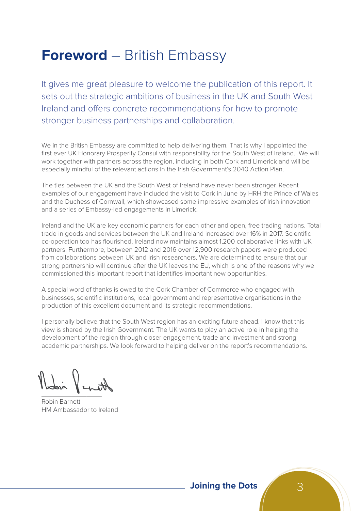## **Foreword** – British Embassy

It gives me great pleasure to welcome the publication of this report. It sets out the strategic ambitions of business in the UK and South West Ireland and offers concrete recommendations for how to promote stronger business partnerships and collaboration.

We in the British Embassy are committed to help delivering them. That is why I appointed the first ever UK Honorary Prosperity Consul with responsibility for the South West of Ireland. We will work together with partners across the region, including in both Cork and Limerick and will be especially mindful of the relevant actions in the Irish Government's 2040 Action Plan.

The ties between the UK and the South West of Ireland have never been stronger. Recent examples of our engagement have included the visit to Cork in June by HRH the Prince of Wales and the Duchess of Cornwall, which showcased some impressive examples of Irish innovation and a series of Embassy-led engagements in Limerick.

Ireland and the UK are key economic partners for each other and open, free trading nations. Total trade in goods and services between the UK and Ireland increased over 16% in 2017. Scientific co-operation too has flourished, Ireland now maintains almost 1,200 collaborative links with UK partners. Furthermore, between 2012 and 2016 over 12,900 research papers were produced from collaborations between UK and Irish researchers. We are determined to ensure that our strong partnership will continue after the UK leaves the EU, which is one of the reasons why we commissioned this important report that identifies important new opportunities.

A special word of thanks is owed to the Cork Chamber of Commerce who engaged with businesses, scientific institutions, local government and representative organisations in the production of this excellent document and its strategic recommendations.

I personally believe that the South West region has an exciting future ahead. I know that this view is shared by the Irish Government. The UK wants to play an active role in helping the development of the region through closer engagement, trade and investment and strong academic partnerships. We look forward to helping deliver on the report's recommendations.

 $\overline{\phantom{a}}$ 

Robin Barnett HM Ambassador to Ireland

**Joining the Dots**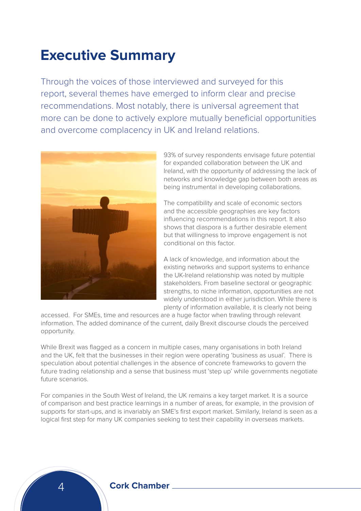## **Executive Summary**

Through the voices of those interviewed and surveyed for this report, several themes have emerged to inform clear and precise recommendations. Most notably, there is universal agreement that more can be done to actively explore mutually beneficial opportunities and overcome complacency in UK and Ireland relations.



93% of survey respondents envisage future potential for expanded collaboration between the UK and Ireland, with the opportunity of addressing the lack of networks and knowledge gap between both areas as being instrumental in developing collaborations.

The compatibility and scale of economic sectors and the accessible geographies are key factors influencing recommendations in this report. It also shows that diaspora is a further desirable element but that willingness to improve engagement is not conditional on this factor.

A lack of knowledge, and information about the existing networks and support systems to enhance the UK-Ireland relationship was noted by multiple stakeholders. From baseline sectoral or geographic strengths, to niche information, opportunities are not widely understood in either jurisdiction. While there is plenty of information available, it is clearly not being

accessed. For SMEs, time and resources are a huge factor when trawling through relevant information. The added dominance of the current, daily Brexit discourse clouds the perceived opportunity.

While Brexit was flagged as a concern in multiple cases, many organisations in both Ireland and the UK, felt that the businesses in their region were operating 'business as usual'. There is speculation about potential challenges in the absence of concrete frameworks to govern the future trading relationship and a sense that business must 'step up' while governments negotiate future scenarios.

For companies in the South West of Ireland, the UK remains a key target market. It is a source of comparison and best practice learnings in a number of areas, for example, in the provision of supports for start-ups, and is invariably an SME's first export market. Similarly, Ireland is seen as a logical first step for many UK companies seeking to test their capability in overseas markets.

#### **Cork Chamber**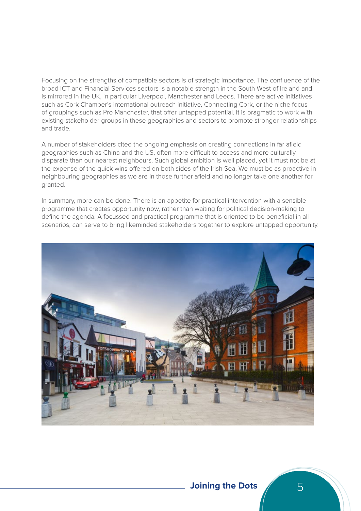Focusing on the strengths of compatible sectors is of strategic importance. The confluence of the broad ICT and Financial Services sectors is a notable strength in the South West of Ireland and is mirrored in the UK, in particular Liverpool, Manchester and Leeds. There are active initiatives such as Cork Chamber's international outreach initiative, Connecting Cork, or the niche focus of groupings such as Pro Manchester, that offer untapped potential. It is pragmatic to work with existing stakeholder groups in these geographies and sectors to promote stronger relationships and trade.

A number of stakeholders cited the ongoing emphasis on creating connections in far afield geographies such as China and the US, often more difficult to access and more culturally disparate than our nearest neighbours. Such global ambition is well placed, yet it must not be at the expense of the quick wins offered on both sides of the Irish Sea. We must be as proactive in neighbouring geographies as we are in those further afield and no longer take one another for granted.

In summary, more can be done. There is an appetite for practical intervention with a sensible programme that creates opportunity now, rather than waiting for political decision-making to define the agenda. A focussed and practical programme that is oriented to be beneficial in all scenarios, can serve to bring likeminded stakeholders together to explore untapped opportunity.

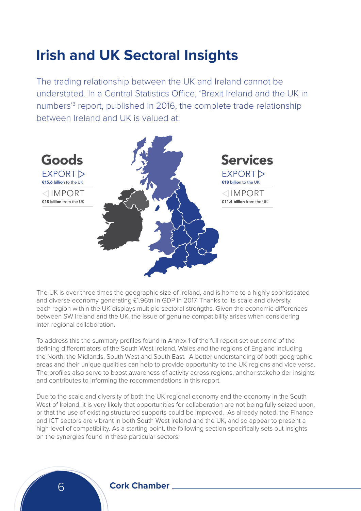## **Irish and UK Sectoral Insights**

The trading relationship between the UK and Ireland cannot be understated. In a Central Statistics Office, 'Brexit Ireland and the UK in numbers<sup>3</sup> report, published in 2016, the complete trade relationship between Ireland and UK is valued at:



The UK is over three times the geographic size of Ireland, and is home to a highly sophisticated and diverse economy generating £1.96tn in GDP in 2017. Thanks to its scale and diversity, each region within the UK displays multiple sectoral strengths. Given the economic differences between SW Ireland and the UK, the issue of genuine compatibility arises when considering inter-regional collaboration.

To address this the summary profiles found in Annex 1 of the full report set out some of the defining differentiators of the South West Ireland, Wales and the regions of England including the North, the Midlands, South West and South East. A better understanding of both geographic areas and their unique qualities can help to provide opportunity to the UK regions and vice versa. The profiles also serve to boost awareness of activity across regions, anchor stakeholder insights and contributes to informing the recommendations in this report.

Due to the scale and diversity of both the UK regional economy and the economy in the South West of Ireland, it is very likely that opportunities for collaboration are not being fully seized upon, or that the use of existing structured supports could be improved. As already noted, the Finance and ICT sectors are vibrant in both South West Ireland and the UK, and so appear to present a high level of compatibility. As a starting point, the following section specifically sets out insights on the synergies found in these particular sectors.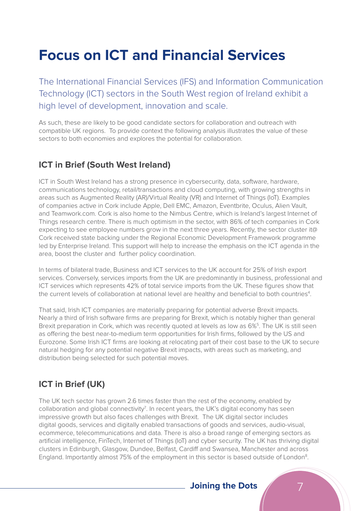# **Focus on ICT and Financial Services**

The International Financial Services (IFS) and Information Communication Technology (ICT) sectors in the South West region of Ireland exhibit a high level of development, innovation and scale.

As such, these are likely to be good candidate sectors for collaboration and outreach with compatible UK regions. To provide context the following analysis illustrates the value of these sectors to both economies and explores the potential for collaboration.

## **ICT in Brief (South West Ireland)**

ICT in South West Ireland has a strong presence in cybersecurity, data, software, hardware, communications technology, retail/transactions and cloud computing, with growing strengths in areas such as Augmented Reality (AR)/Virtual Reality (VR) and Internet of Things (IoT). Examples of companies active in Cork include Apple, Dell EMC, Amazon, Eventbrite, Oculus, Alien Vault, and Teamwork.com. Cork is also home to the Nimbus Centre, which is Ireland's largest Internet of Things research centre. There is much optimism in the sector, with 86% of tech companies in Cork expecting to see employee numbers grow in the next three years. Recently, the sector cluster it@ Cork received state backing under the Regional Economic Development Framework programme led by Enterprise Ireland. This support will help to increase the emphasis on the ICT agenda in the area, boost the cluster and further policy coordination.

In terms of bilateral trade, Business and ICT services to the UK account for 25% of Irish export services. Conversely, services imports from the UK are predominantly in business, professional and ICT services which represents 42% of total service imports from the UK. These figures show that the current levels of collaboration at national level are healthy and beneficial to both countries<sup>4</sup>.

That said, Irish ICT companies are materially preparing for potential adverse Brexit impacts. Nearly a third of Irish software firms are preparing for Brexit, which is notably higher than general Brexit preparation in Cork, which was recently quoted at levels as low as 6%<sup>5</sup>. The UK is still seen as offering the best near-to-medium term opportunities for Irish firms, followed by the US and Eurozone. Some Irish ICT firms are looking at relocating part of their cost base to the UK to secure natural hedging for any potential negative Brexit impacts, with areas such as marketing, and distribution being selected for such potential moves.

## **ICT in Brief (UK)**

The UK tech sector has grown 2.6 times faster than the rest of the economy, enabled by collaboration and global connectivity<sup>7</sup>. In recent years, the UK's digital economy has seen impressive growth but also faces challenges with Brexit. The UK digital sector includes digital goods, services and digitally enabled transactions of goods and services, audio-visual, ecommerce, telecommunications and data. There is also a broad range of emerging sectors as artificial intelligence, FinTech, Internet of Things (IoT) and cyber security. The UK has thriving digital clusters in Edinburgh, Glasgow, Dundee, Belfast, Cardiff and Swansea, Manchester and across England. Importantly almost 75% of the employment in this sector is based outside of London<sup>8</sup>.

### **Joining the Dots**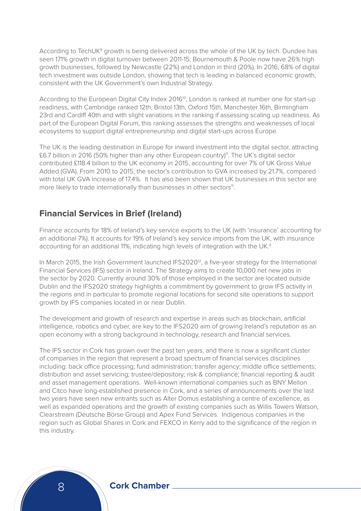According to TechUK<sup>9</sup> growth is being delivered across the whole of the UK by tech. Dundee has seen 171% growth in digital turnover between 2011-15; Bournemouth & Poole now have 26% high growth businesses, followed by Newcastle (22%) and London in third (20%). In 2016, 68% of digital tech investment was outside London, showing that tech is leading in balanced economic growth, consistent with the UK Government's own Industrial Strategy.

According to the European Digital City Index 2016<sup>10</sup>, London is ranked at number one for start-up readiness, with Cambridge ranked 12th, Bristol 13th, Oxford 15th, Manchester 16th, Birmingham 23rd and Cardiff 40th and with slight variations in the ranking if assessing scaling up readiness. As part of the European Digital Forum, this ranking assesses the strengths and weaknesses of local ecosystems to support digital entrepreneurship and digital start-ups across Europe.

The UK is the leading destination in Europe for inward investment into the digital sector, attracting £6.7 billion in 2016 (50% higher than any other European country)11. The UK's digital sector contributed £118.4 billion to the UK economy in 2015, accounting for over 7% of UK Gross Value Added (GVA). From 2010 to 2015, the sector's contribution to GVA increased by 21.7%, compared with total UK GVA increase of 17.4%. It has also been shown that UK businesses in this sector are more likely to trade internationally than businesses in other sectors<sup>11</sup>.

### **Financial Services in Brief (Ireland)**

Finance accounts for 18% of Ireland's key service exports to the UK (with 'insurance' accounting for an additional 7%). It accounts for 19% of Ireland's key service imports from the UK, with insurance accounting for an additional 11%, indicating high levels of integration with the UK.<sup>4</sup>

In March 2015, the Irish Government launched IFS2020<sup>12</sup>, a five-year strategy for the International Financial Services (IFS) sector in Ireland. The Strategy aims to create 10,000 net new jobs in the sector by 2020. Currently around 30% of those employed in the sector are located outside Dublin and the IFS2020 strategy highlights a commitment by government to grow IFS activity in the regions and in particular to promote regional locations for second site operations to support growth by IFS companies located in or near Dublin.

The development and growth of research and expertise in areas such as blockchain, artificial intelligence, robotics and cyber, are key to the IFS2020 aim of growing Ireland's reputation as an open economy with a strong background in technology, research and financial services.

The IFS sector in Cork has grown over the past ten years, and there is now a significant cluster of companies in the region that represent a broad spectrum of financial services disciplines including: back office processing; fund administration; transfer agency; middle office settlements; distribution and asset servicing; trustee/depository; risk & compliance; financial reporting & audit and asset management operations. Well-known international companies such as BNY Mellon and Citco have long-established presence in Cork, and a series of announcements over the last two years have seen new entrants such as Alter Domus establishing a centre of excellence, as well as expanded operations and the growth of existing companies such as Willis Towers Watson, Clearstream (Deutsche Börse Group) and Apex Fund Services. Indigenous companies in the region such as Global Shares in Cork and FEXCO in Kerry add to the significance of the region in this industry.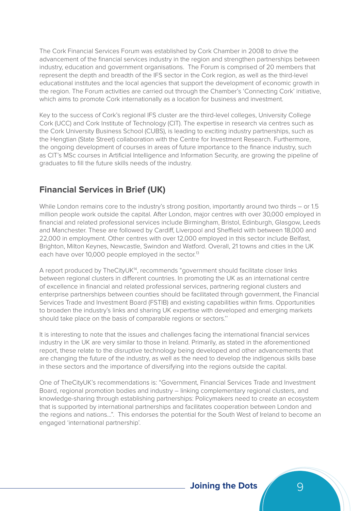The Cork Financial Services Forum was established by Cork Chamber in 2008 to drive the advancement of the financial services industry in the region and strengthen partnerships between industry, education and government organisations. The Forum is comprised of 20 members that represent the depth and breadth of the IFS sector in the Cork region, as well as the third-level educational institutes and the local agencies that support the development of economic growth in the region. The Forum activities are carried out through the Chamber's 'Connecting Cork' initiative, which aims to promote Cork internationally as a location for business and investment.

Key to the success of Cork's regional IFS cluster are the third-level colleges, University College Cork (UCC) and Cork Institute of Technology (CIT). The expertise in research via centres such as the Cork University Business School (CUBS), is leading to exciting industry partnerships, such as the Hengtian (State Street) collaboration with the Centre for Investment Research. Furthermore, the ongoing development of courses in areas of future importance to the finance industry, such as CIT's MSc courses in Artificial Intelligence and Information Security, are growing the pipeline of graduates to fill the future skills needs of the industry.

## **Financial Services in Brief (UK)**

While London remains core to the industry's strong position, importantly around two thirds – or 1.5 million people work outside the capital. After London, major centres with over 30,000 employed in financial and related professional services include Birmingham, Bristol, Edinburgh, Glasgow, Leeds and Manchester. These are followed by Cardiff, Liverpool and Sheffield with between 18,000 and 22,000 in employment. Other centres with over 12,000 employed in this sector include Belfast, Brighton, Milton Keynes, Newcastle, Swindon and Watford. Overall, 21 towns and cities in the UK each have over 10,000 people employed in the sector.<sup>13</sup>

A report produced by TheCityUK14, recommends "government should facilitate closer links between regional clusters in different countries. In promoting the UK as an international centre of excellence in financial and related professional services, partnering regional clusters and enterprise partnerships between counties should be facilitated through government, the Financial Services Trade and Investment Board (FSTIB) and existing capabilities within firms. Opportunities to broaden the industry's links and sharing UK expertise with developed and emerging markets should take place on the basis of comparable regions or sectors.''

It is interesting to note that the issues and challenges facing the international financial services industry in the UK are very similar to those in Ireland. Primarily, as stated in the aforementioned report, these relate to the disruptive technology being developed and other advancements that are changing the future of the industry, as well as the need to develop the indigenous skills base in these sectors and the importance of diversifying into the regions outside the capital.

One of TheCityUK's recommendations is: "Government, Financial Services Trade and Investment Board, regional promotion bodies and industry – linking complementary regional clusters, and knowledge-sharing through establishing partnerships: Policymakers need to create an ecosystem that is supported by international partnerships and facilitates cooperation between London and the regions and nations...". This endorses the potential for the South West of Ireland to become an engaged 'international partnership'.

#### **Joining the Dots**

 $\overline{Q}$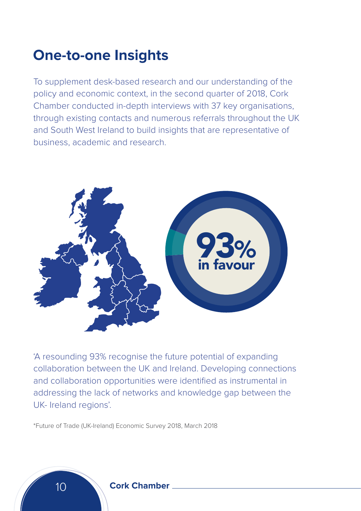## **One-to-one Insights**

To supplement desk-based research and our understanding of the policy and economic context, in the second quarter of 2018, Cork Chamber conducted in-depth interviews with 37 key organisations, through existing contacts and numerous referrals throughout the UK and South West Ireland to build insights that are representative of business, academic and research.



'A resounding 93% recognise the future potential of expanding collaboration between the UK and Ireland. Developing connections and collaboration opportunities were identified as instrumental in addressing the lack of networks and knowledge gap between the UK- Ireland regions'.

\*Future of Trade (UK-Ireland) Economic Survey 2018, March 2018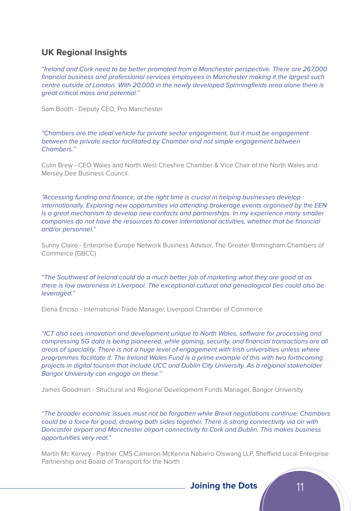### **UK Regional Insights**

"Ireland and Cork need to be better promoted from a Manchester perspective. There are 267,000 financial business and professional services employees in Manchester making it the largest such centre outside of London. With 20,000 in the newly developed Spinningfields area alone there is great critical mass and potential.''

Sam Booth - Deputy CEO, Pro Manchester

"Chambers are the ideal vehicle for private sector engagement, but it must be engagement between the private sector facilitated by Chamber and not simple engagement between Chambers.''

Colin Brew - CEO Wales and North West Cheshire Chamber & Vice Chair of the North Wales and Mersey Dee Business Council.

"Accessing funding and finance, at the right time is crucial in helping businesses develop internationally. Exploring new opportunities via attending brokerage events organised by the EEN is a great mechanism to develop new contacts and partnerships. In my experience many smaller companies do not have the resources to cover international activities, whether that be financial and/or personnel.''

Sunny Claire - Enterprise Europe Network Business Advisor, The Greater Birmingham Chambers of Commerce (GBCC)

"The Southwest of Ireland could do a much better job of marketing what they are good at as there is low awareness in Liverpool. The exceptional cultural and genealogical ties could also be leveraged.''

Elena Enciso - International Trade Manager, Liverpool Chamber of Commerce

"ICT also sees innovation and development unique to North Wales, software for processing and compressing 5G data is being pioneered, while gaming, security, and financial transactions are all areas of speciality. There is not a huge level of engagement with Irish universities unless where programmes facilitate it. The Ireland Wales Fund is a prime example of this with two forthcoming projects in digital tourism that include UCC and Dublin City University. As a regional stakeholder Bangor University can engage on these.''

James Goodman - Structural and Regional Development Funds Manager, Bangor University

"The broader economic issues must not be forgotten while Brexit negotiations continue. Chambers could be a force for good, drawing both sides together. There is strong connectivity via air with Doncaster airport and Manchester airport connectivity to Cork and Dublin. This makes business opportunities very real."

Martin Mc Kervey - Partner CMS Cameron McKenna Nabarro Olswang LLP, Sheffield Local Enterprise Partnership and Board of Transport for the North

11 **Joining the Dots**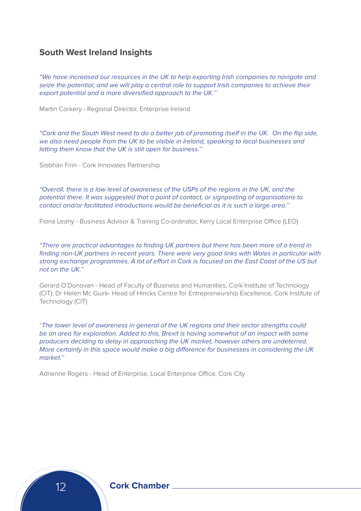### **South West Ireland Insights**

"We have increased our resources in the UK to help exporting Irish companies to navigate and seize the potential, and we will play a central role to support Irish companies to achieve their export potential and a more diversified approach to the UK.''

Martin Corkery - Regional Director, Enterprise Ireland

"Cork and the South West need to do a better job of promoting itself in the UK. On the flip side, we also need people from the UK to be visible in Ireland, speaking to local businesses and letting them know that the UK is still open for business.''

Siobhán Finn - Cork Innovates Partnership

"Overall, there is a low level of awareness of the USPs of the regions in the UK, and the potential there. It was suggested that a point of contact, or signposting of organisations to contact and/or facilitated introductions would be beneficial as it is such a large area.''

Fiona Leahy - Business Advisor & Training Co-ordinator, Kerry Local Enterprise Office (LEO)

"There are practical advantages to finding UK partners but there has been more of a trend in finding non-UK partners in recent years. There were very good links with Wales in particular with strong exchange programmes. A lot of effort in Cork is focused on the East Coast of the US but not on the UK.''

Gerard O'Donovan - Head of Faculty of Business and Humanities, Cork Institute of Technology (CIT); Dr Helen Mc Guirk- Head of Hincks Centre for Entrepreneurship Excellence, Cork Institute of Technology (CIT)

"The lower level of awareness in general of the UK regions and their sector strengths could be an area for exploration. Added to this, Brexit is having somewhat of an impact with some producers deciding to delay in approaching the UK market, however others are undeterred. More certainty in this space would make a big difference for businesses in considering the UK market.''

Adrienne Rogers - Head of Enterprise, Local Enterprise Office, Cork City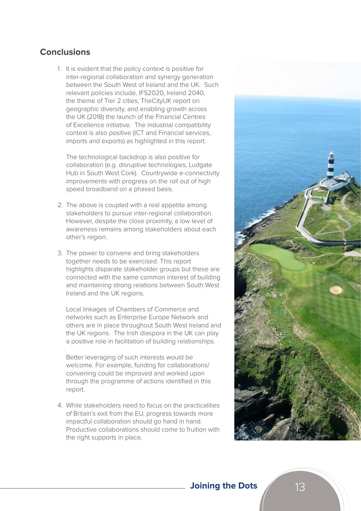### **Conclusions**

1. It is evident that the policy context is positive for inter-regional collaboration and synergy generation between the South West of Ireland and the UK. Such relevant policies include, IFS2020, Ireland 2040, the theme of Tier 2 cities, TheCityUK report on geographic diversity, and enabling growth across the UK (2018) the launch of the Financial Centres of Excellence initiative. The industrial compatibility context is also positive (ICT and Financial services, imports and exports) as highlighted in this report.

 The technological backdrop is also positive for collaboration (e.g. disruptive technologies, Ludgate Hub in South West Cork). Countrywide e-connectivity improvements with progress on the roll out of high speed broadband on a phased basis.

- 2. The above is coupled with a real appetite among stakeholders to pursue inter-regional collaboration. However, despite the close proximity, a low level of awareness remains among stakeholders about each other's region.
- 3. The power to convene and bring stakeholders together needs to be exercised. This report highlights disparate stakeholder groups but these are connected with the same common interest of building and maintaining strong relations between South West Ireland and the UK regions.

 Local linkages of Chambers of Commerce and networks such as Enterprise Europe Network and others are in place throughout South West Ireland and the UK regions. The Irish diaspora in the UK can play a positive role in facilitation of building relationships.

 Better leveraging of such interests would be welcome. For example, funding for collaborations/ convening could be improved and worked upon through the programme of actions identified in this report.

4. While stakeholders need to focus on the practicalities of Britain's exit from the EU, progress towards more impactful collaboration should go hand in hand. Productive collaborations should come to fruition with the right supports in place.



13

#### **Joining the Dots**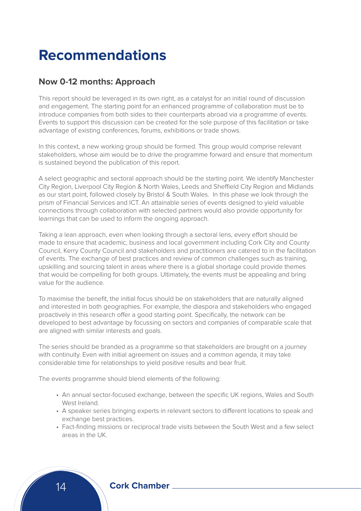## **Recommendations**

## **Now 0-12 months: Approach**

This report should be leveraged in its own right, as a catalyst for an initial round of discussion and engagement. The starting point for an enhanced programme of collaboration must be to introduce companies from both sides to their counterparts abroad via a programme of events. Events to support this discussion can be created for the sole purpose of this facilitation or take advantage of existing conferences, forums, exhibitions or trade shows.

In this context, a new working group should be formed. This group would comprise relevant stakeholders, whose aim would be to drive the programme forward and ensure that momentum is sustained beyond the publication of this report.

A select geographic and sectoral approach should be the starting point. We identify Manchester City Region, Liverpool City Region & North Wales, Leeds and Sheffield City Region and Midlands as our start point, followed closely by Bristol & South Wales. In this phase we look through the prism of Financial Services and ICT. An attainable series of events designed to yield valuable connections through collaboration with selected partners would also provide opportunity for learnings that can be used to inform the ongoing approach.

Taking a lean approach, even when looking through a sectoral lens, every effort should be made to ensure that academic, business and local government including Cork City and County Council, Kerry County Council and stakeholders and practitioners are catered to in the facilitation of events. The exchange of best practices and review of common challenges such as training, upskilling and sourcing talent in areas where there is a global shortage could provide themes that would be compelling for both groups. Ultimately, the events must be appealing and bring value for the audience.

To maximise the benefit, the initial focus should be on stakeholders that are naturally aligned and interested in both geographies. For example, the diaspora and stakeholders who engaged proactively in this research offer a good starting point. Specifically, the network can be developed to best advantage by focussing on sectors and companies of comparable scale that are aligned with similar interests and goals.

The series should be branded as a programme so that stakeholders are brought on a journey with continuity. Even with initial agreement on issues and a common agenda, it may take considerable time for relationships to yield positive results and bear fruit.

The events programme should blend elements of the following:

- An annual sector-focused exchange, between the specific UK regions, Wales and South West Ireland.
- A speaker series bringing experts in relevant sectors to different locations to speak and exchange best practices.
- Fact-finding missions or reciprocal trade visits between the South West and a few select areas in the UK.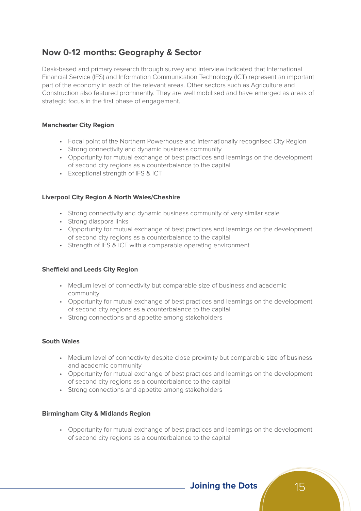## **Now 0-12 months: Geography & Sector**

Desk-based and primary research through survey and interview indicated that International Financial Service (IFS) and Information Communication Technology (ICT) represent an important part of the economy in each of the relevant areas. Other sectors such as Agriculture and Construction also featured prominently. They are well mobilised and have emerged as areas of strategic focus in the first phase of engagement.

#### **Manchester City Region**

- Focal point of the Northern Powerhouse and internationally recognised City Region
- Strong connectivity and dynamic business community
- Opportunity for mutual exchange of best practices and learnings on the development of second city regions as a counterbalance to the capital
- Exceptional strength of IFS & ICT

#### **Liverpool City Region & North Wales/Cheshire**

- Strong connectivity and dynamic business community of very similar scale
- Strong diaspora links
- Opportunity for mutual exchange of best practices and learnings on the development of second city regions as a counterbalance to the capital
- Strength of IFS & ICT with a comparable operating environment

#### **Sheffield and Leeds City Region**

- Medium level of connectivity but comparable size of business and academic community
- Opportunity for mutual exchange of best practices and learnings on the development of second city regions as a counterbalance to the capital
- Strong connections and appetite among stakeholders

#### **South Wales**

- Medium level of connectivity despite close proximity but comparable size of business and academic community
- Opportunity for mutual exchange of best practices and learnings on the development of second city regions as a counterbalance to the capital
- Strong connections and appetite among stakeholders

#### **Birmingham City & Midlands Region**

• Opportunity for mutual exchange of best practices and learnings on the development of second city regions as a counterbalance to the capital

**Joining the Dots**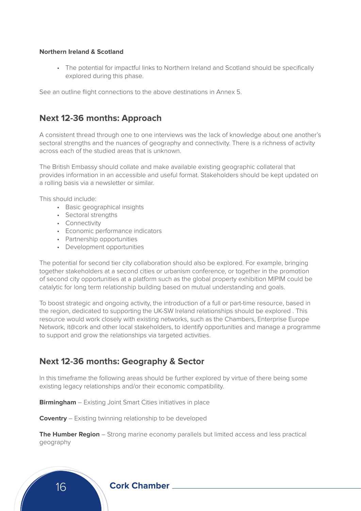#### **Northern Ireland & Scotland**

• The potential for impactful links to Northern Ireland and Scotland should be specifically explored during this phase.

See an outline flight connections to the above destinations in Annex 5.

## **Next 12-36 months: Approach**

A consistent thread through one to one interviews was the lack of knowledge about one another's sectoral strengths and the nuances of geography and connectivity. There is a richness of activity across each of the studied areas that is unknown.

The British Embassy should collate and make available existing geographic collateral that provides information in an accessible and useful format. Stakeholders should be kept updated on a rolling basis via a newsletter or similar.

This should include:

16

- Basic geographical insights
- Sectoral strengths
- Connectivity
- Economic performance indicators
- Partnership opportunities
- Development opportunities

The potential for second tier city collaboration should also be explored. For example, bringing together stakeholders at a second cities or urbanism conference, or together in the promotion of second city opportunities at a platform such as the global property exhibition MIPIM could be catalytic for long term relationship building based on mutual understanding and goals.

To boost strategic and ongoing activity, the introduction of a full or part-time resource, based in the region, dedicated to supporting the UK-SW Ireland relationships should be explored . This resource would work closely with existing networks, such as the Chambers, Enterprise Europe Network, it@cork and other local stakeholders, to identify opportunities and manage a programme to support and grow the relationships via targeted activities.

## **Next 12-36 months: Geography & Sector**

In this timeframe the following areas should be further explored by virtue of there being some existing legacy relationships and/or their economic compatibility.

**Birmingham** – Existing Joint Smart Cities initiatives in place

**Coventry** – Existing twinning relationship to be developed

**The Humber Region** – Strong marine economy parallels but limited access and less practical geography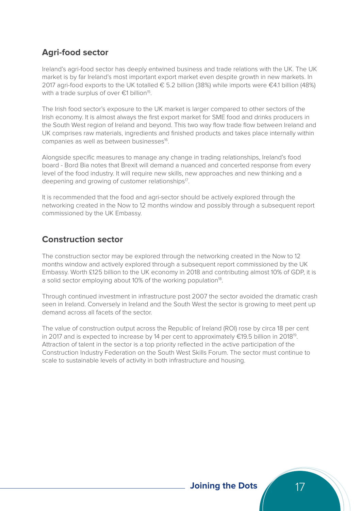## **Agri-food sector**

Ireland's agri-food sector has deeply entwined business and trade relations with the UK. The UK market is by far Ireland's most important export market even despite growth in new markets. In 2017 agri-food exports to the UK totalled € 5.2 billion (38%) while imports were €4.1 billion (48%) with a trade surplus of over  $\epsilon$ 1 billion<sup>15</sup>.

The Irish food sector's exposure to the UK market is larger compared to other sectors of the Irish economy. It is almost always the first export market for SME food and drinks producers in the South West region of Ireland and beyond. This two way flow trade flow between Ireland and UK comprises raw materials, ingredients and finished products and takes place internally within companies as well as between businesses<sup>16</sup>.

Alongside specific measures to manage any change in trading relationships, Ireland's food board - Bord Bia notes that Brexit will demand a nuanced and concerted response from every level of the food industry. It will require new skills, new approaches and new thinking and a deepening and growing of customer relationships<sup>17</sup>.

It is recommended that the food and agri-sector should be actively explored through the networking created in the Now to 12 months window and possibly through a subsequent report commissioned by the UK Embassy.

### **Construction sector**

The construction sector may be explored through the networking created in the Now to 12 months window and actively explored through a subsequent report commissioned by the UK Embassy. Worth £125 billion to the UK economy in 2018 and contributing almost 10% of GDP, it is a solid sector employing about 10% of the working population<sup>18</sup>.

Through continued investment in infrastructure post 2007 the sector avoided the dramatic crash seen in Ireland. Conversely in Ireland and the South West the sector is growing to meet pent up demand across all facets of the sector.

The value of construction output across the Republic of Ireland (ROI) rose by circa 18 per cent in 2017 and is expected to increase by 14 per cent to approximately €19.5 billion in 201819. Attraction of talent in the sector is a top priority reflected in the active participation of the Construction Industry Federation on the South West Skills Forum. The sector must continue to scale to sustainable levels of activity in both infrastructure and housing.

### **Joining the Dots**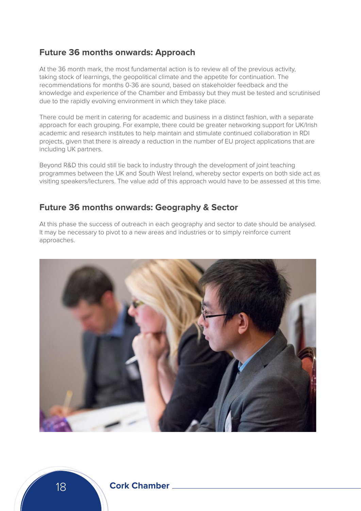## **Future 36 months onwards: Approach**

At the 36 month mark, the most fundamental action is to review all of the previous activity, taking stock of learnings, the geopolitical climate and the appetite for continuation. The recommendations for months 0-36 are sound, based on stakeholder feedback and the knowledge and experience of the Chamber and Embassy but they must be tested and scrutinised due to the rapidly evolving environment in which they take place.

There could be merit in catering for academic and business in a distinct fashion, with a separate approach for each grouping. For example, there could be greater networking support for UK/Irish academic and research institutes to help maintain and stimulate continued collaboration in RDI projects, given that there is already a reduction in the number of EU project applications that are including UK partners.

Beyond R&D this could still tie back to industry through the development of joint teaching programmes between the UK and South West Ireland, whereby sector experts on both side act as visiting speakers/lecturers. The value add of this approach would have to be assessed at this time.

### **Future 36 months onwards: Geography & Sector**

At this phase the success of outreach in each geography and sector to date should be analysed. It may be necessary to pivot to a new areas and industries or to simply reinforce current approaches.

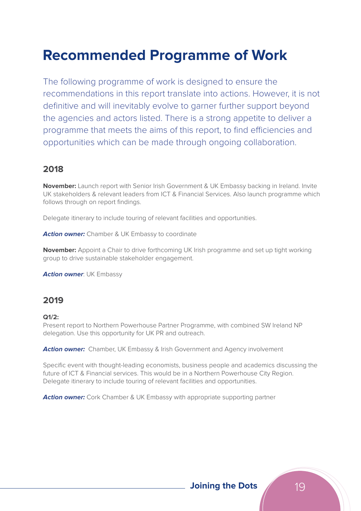## **Recommended Programme of Work**

The following programme of work is designed to ensure the recommendations in this report translate into actions. However, it is not definitive and will inevitably evolve to garner further support beyond the agencies and actors listed. There is a strong appetite to deliver a programme that meets the aims of this report, to find efficiencies and opportunities which can be made through ongoing collaboration.

#### **2018**

**November:** Launch report with Senior Irish Government & UK Embassy backing in Ireland. Invite UK stakeholders & relevant leaders from ICT & Financial Services. Also launch programme which follows through on report findings.

Delegate itinerary to include touring of relevant facilities and opportunities.

**Action owner:** Chamber & UK Embassy to coordinate

**November:** Appoint a Chair to drive forthcoming UK Irish programme and set up tight working group to drive sustainable stakeholder engagement.

**Action owner: UK Embassy** 

#### **2019**

#### **Q1/2:**

Present report to Northern Powerhouse Partner Programme, with combined SW Ireland NP delegation. Use this opportunity for UK PR and outreach.

**Action owner:** Chamber, UK Embassy & Irish Government and Agency involvement

Specific event with thought-leading economists, business people and academics discussing the future of ICT & Financial services. This would be in a Northern Powerhouse City Region. Delegate itinerary to include touring of relevant facilities and opportunities.

**Action owner:** Cork Chamber & UK Embassy with appropriate supporting partner

### **Joining the Dots**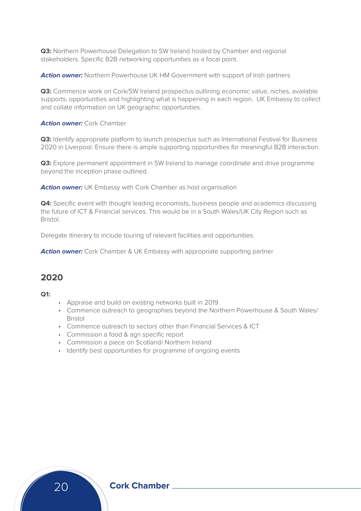**Q3:** Northern Powerhouse Delegation to SW Ireland hosted by Chamber and regional stakeholders. Specific B2B networking opportunities as a focal point.

**Action owner:** Northern Powerhouse UK HM Government with support of Irish partners

**Q3:** Commence work on Cork/SW Ireland prospectus outlining economic value, niches, available supports, opportunities and highlighting what is happening in each region. UK Embassy to collect and collate information on UK geographic opportunities.

#### **Action owner:** Cork Chamber

**Q3:** Identify appropriate platform to launch prospectus such as International Festival for Business 2020 in Liverpool. Ensure there is ample supporting opportunities for meaningful B2B interaction.

**Q3:** Explore permanent appointment in SW Ireland to manage coordinate and drive programme beyond the inception phase outlined.

Action owner: UK Embassy with Cork Chamber as host organisation

**Q4:** Specific event with thought leading economists, business people and academics discussing the future of ICT & Financial services. This would be in a South Wales/UK City Region such as Bristol.

Delegate itinerary to include touring of relevant facilities and opportunities.

**Action owner:** Cork Chamber & UK Embassy with appropriate supporting partner

### **2020**

**Q1:** 

- Appraise and build on existing networks built in 2019
- Commence outreach to geographies beyond the Northern Powerhouse & South Wales/ Bristol
- Commence outreach to sectors other than Financial Services & ICT
- Commission a food & agri specific report
- Commission a piece on Scotland/ Northern Ireland
- Identify best opportunities for programme of ongoing events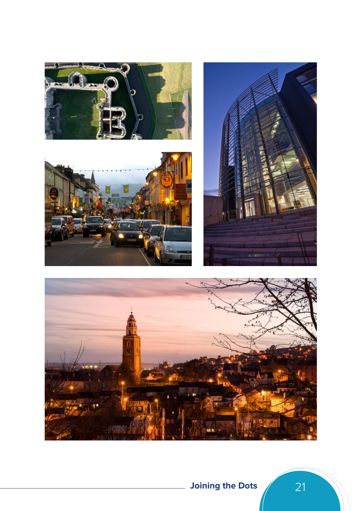







## 21 **Joining the Dots**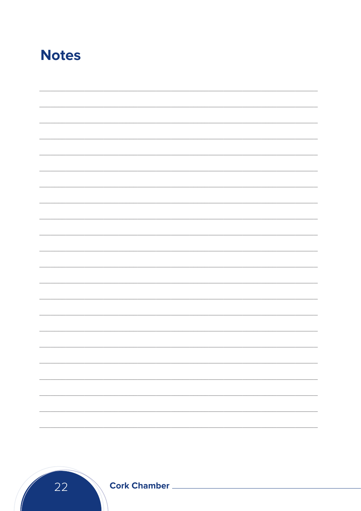## **Notes**

| -                        |
|--------------------------|
|                          |
| $\overline{\phantom{0}}$ |
|                          |
|                          |
|                          |
|                          |
|                          |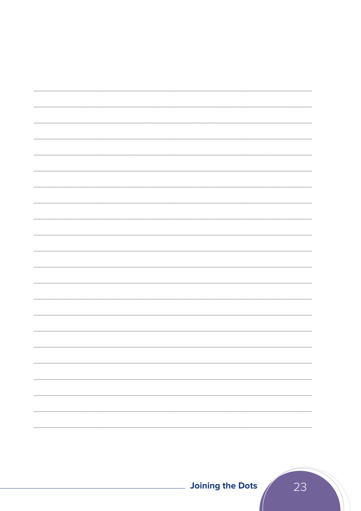## **Solution Service Service Service Service Service Service Service Service Service Service Service Service Service Service Service Service Service Service Service Service Service Service Service Service Service Service Serv**

<u> 1989 - Jan James James James James James James James James James James James James James James James Jam</u>

<u> 1990 - Jan Sarajević, politički politički politički kalendar (da svjetlo da svjetlo da svjetlo da svjetlo da</u>



 $\overline{\phantom{0}}$ 

<u> 1980 - Andrea Station Books, amerikansk politik (d. 1980)</u>